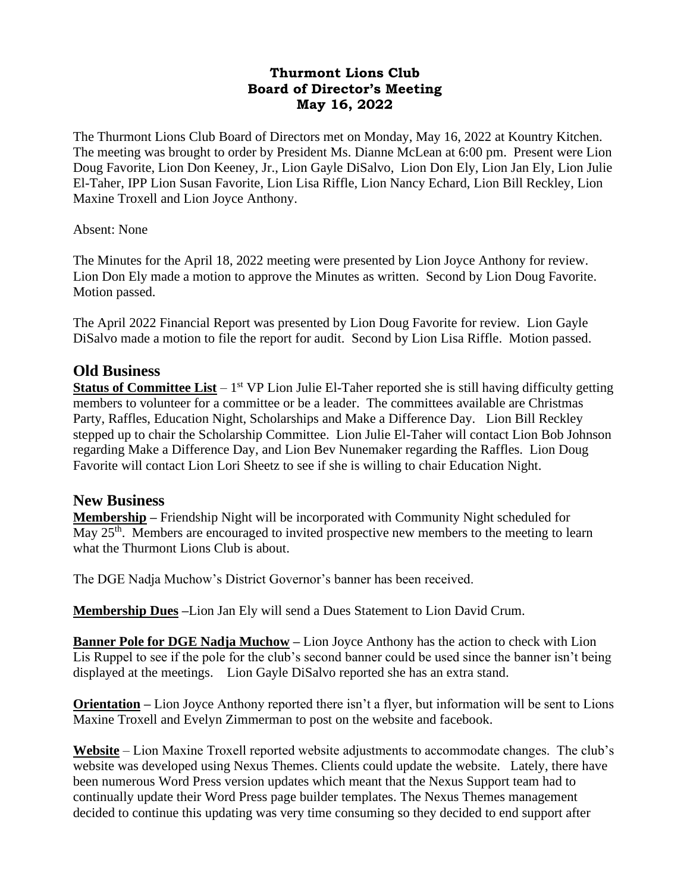#### **Thurmont Lions Club Board of Director's Meeting May 16, 2022**

The Thurmont Lions Club Board of Directors met on Monday, May 16, 2022 at Kountry Kitchen. The meeting was brought to order by President Ms. Dianne McLean at 6:00 pm. Present were Lion Doug Favorite, Lion Don Keeney, Jr., Lion Gayle DiSalvo, Lion Don Ely, Lion Jan Ely, Lion Julie El-Taher, IPP Lion Susan Favorite, Lion Lisa Riffle, Lion Nancy Echard, Lion Bill Reckley, Lion Maxine Troxell and Lion Joyce Anthony.

#### Absent: None

The Minutes for the April 18, 2022 meeting were presented by Lion Joyce Anthony for review. Lion Don Ely made a motion to approve the Minutes as written. Second by Lion Doug Favorite. Motion passed.

The April 2022 Financial Report was presented by Lion Doug Favorite for review. Lion Gayle DiSalvo made a motion to file the report for audit. Second by Lion Lisa Riffle. Motion passed.

## **Old Business**

**Status of Committee List** – 1<sup>st</sup> VP Lion Julie El-Taher reported she is still having difficulty getting members to volunteer for a committee or be a leader. The committees available are Christmas Party, Raffles, Education Night, Scholarships and Make a Difference Day. Lion Bill Reckley stepped up to chair the Scholarship Committee. Lion Julie El-Taher will contact Lion Bob Johnson regarding Make a Difference Day, and Lion Bev Nunemaker regarding the Raffles. Lion Doug Favorite will contact Lion Lori Sheetz to see if she is willing to chair Education Night.

#### **New Business**

**Membership –** Friendship Night will be incorporated with Community Night scheduled for May 25<sup>th</sup>. Members are encouraged to invited prospective new members to the meeting to learn what the Thurmont Lions Club is about.

The DGE Nadja Muchow's District Governor's banner has been received.

**Membership Dues –**Lion Jan Ely will send a Dues Statement to Lion David Crum.

**Banner Pole for DGE Nadja Muchow –** Lion Joyce Anthony has the action to check with Lion Lis Ruppel to see if the pole for the club's second banner could be used since the banner isn't being displayed at the meetings. Lion Gayle DiSalvo reported she has an extra stand.

**Orientation –** Lion Joyce Anthony reported there isn't a flyer, but information will be sent to Lions Maxine Troxell and Evelyn Zimmerman to post on the website and facebook.

**Website** – Lion Maxine Troxell reported website adjustments to accommodate changes. The club's website was developed using Nexus Themes. Clients could update the website. Lately, there have been numerous Word Press version updates which meant that the Nexus Support team had to continually update their Word Press page builder templates. The Nexus Themes management decided to continue this updating was very time consuming so they decided to end support after